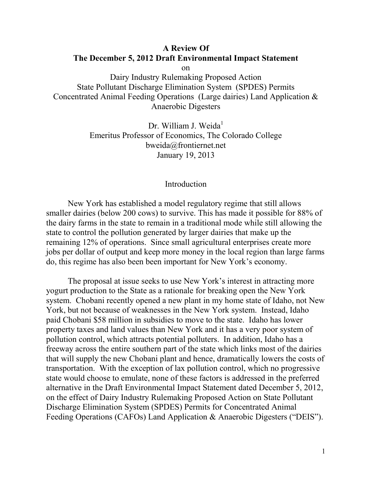# **A Review Of The December 5, 2012 Draft Environmental Impact Statement** on

Dairy Industry Rulemaking Proposed Action State Pollutant Discharge Elimination System (SPDES) Permits Concentrated Animal Feeding Operations (Large dairies) Land Application & Anaerobic Digesters

> Dr. William J. Weida<sup>1</sup> Emeritus Professor of Economics, The Colorado College bweida@frontiernet.net January 19, 2013

## Introduction

New York has established a model regulatory regime that still allows smaller dairies (below 200 cows) to survive. This has made it possible for 88% of the dairy farms in the state to remain in a traditional mode while still allowing the state to control the pollution generated by larger dairies that make up the remaining 12% of operations. Since small agricultural enterprises create more jobs per dollar of output and keep more money in the local region than large farms do, this regime has also been been important for New York's economy.

The proposal at issue seeks to use New York's interest in attracting more yogurt production to the State as a rationale for breaking open the New York system. Chobani recently opened a new plant in my home state of Idaho, not New York, but not because of weaknesses in the New York system. Instead, Idaho paid Chobani \$58 million in subsidies to move to the state. Idaho has lower property taxes and land values than New York and it has a very poor system of pollution control, which attracts potential polluters. In addition, Idaho has a freeway across the entire southern part of the state which links most of the dairies that will supply the new Chobani plant and hence, dramatically lowers the costs of transportation. With the exception of lax pollution control, which no progressive state would choose to emulate, none of these factors is addressed in the preferred alternative in the Draft Environmental Impact Statement dated December 5, 2012, on the effect of Dairy Industry Rulemaking Proposed Action on State Pollutant Discharge Elimination System (SPDES) Permits for Concentrated Animal Feeding Operations (CAFOs) Land Application & Anaerobic Digesters ("DEIS").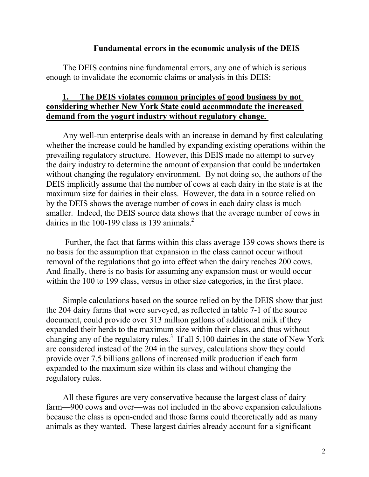### **Fundamental errors in the economic analysis of the DEIS**

The DEIS contains nine fundamental errors, any one of which is serious enough to invalidate the economic claims or analysis in this DEIS:

# **1. The DEIS violates common principles of good business by not considering whether New York State could accommodate the increased demand from the yogurt industry without regulatory change.**

Any well-run enterprise deals with an increase in demand by first calculating whether the increase could be handled by expanding existing operations within the prevailing regulatory structure. However, this DEIS made no attempt to survey the dairy industry to determine the amount of expansion that could be undertaken without changing the regulatory environment. By not doing so, the authors of the DEIS implicitly assume that the number of cows at each dairy in the state is at the maximum size for dairies in their class. However, the data in a source relied on by the DEIS shows the average number of cows in each dairy class is much smaller. Indeed, the DEIS source data shows that the average number of cows in dairies in the 100-199 class is 139 animals.<sup>2</sup>

Further, the fact that farms within this class average 139 cows shows there is no basis for the assumption that expansion in the class cannot occur without removal of the regulations that go into effect when the dairy reaches 200 cows. And finally, there is no basis for assuming any expansion must or would occur within the 100 to 199 class, versus in other size categories, in the first place.

Simple calculations based on the source relied on by the DEIS show that just the 204 dairy farms that were surveyed, as reflected in table 7-1 of the source document, could provide over 313 million gallons of additional milk if they expanded their herds to the maximum size within their class, and thus without changing any of the regulatory rules.<sup>3</sup> If all 5,100 dairies in the state of New York are considered instead of the 204 in the survey, calculations show they could provide over 7.5 billions gallons of increased milk production if each farm expanded to the maximum size within its class and without changing the regulatory rules.

All these figures are very conservative because the largest class of dairy farm—900 cows and over—was not included in the above expansion calculations because the class is open-ended and those farms could theoretically add as many animals as they wanted. These largest dairies already account for a significant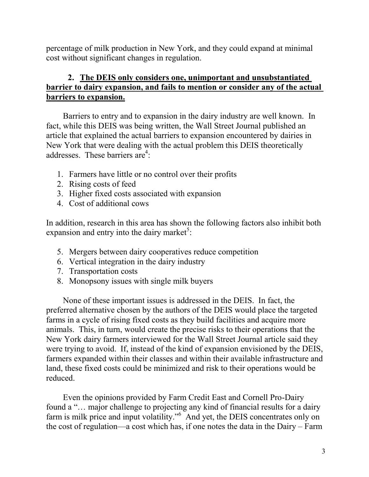percentage of milk production in New York, and they could expand at minimal cost without significant changes in regulation.

# **2. The DEIS only considers one, unimportant and unsubstantiated barrier to dairy expansion, and fails to mention or consider any of the actual barriers to expansion.**

Barriers to entry and to expansion in the dairy industry are well known. In fact, while this DEIS was being written, the Wall Street Journal published an article that explained the actual barriers to expansion encountered by dairies in New York that were dealing with the actual problem this DEIS theoretically addresses. These barriers are<sup>4</sup>:

- 1. Farmers have little or no control over their profits
- 2. Rising costs of feed
- 3. Higher fixed costs associated with expansion
- 4. Cost of additional cows

In addition, research in this area has shown the following factors also inhibit both expansion and entry into the dairy market<sup>5</sup>:

- 5. Mergers between dairy cooperatives reduce competition
- 6. Vertical integration in the dairy industry
- 7. Transportation costs
- 8. Monopsony issues with single milk buyers

None of these important issues is addressed in the DEIS. In fact, the preferred alternative chosen by the authors of the DEIS would place the targeted farms in a cycle of rising fixed costs as they build facilities and acquire more animals. This, in turn, would create the precise risks to their operations that the New York dairy farmers interviewed for the Wall Street Journal article said they were trying to avoid. If, instead of the kind of expansion envisioned by the DEIS, farmers expanded within their classes and within their available infrastructure and land, these fixed costs could be minimized and risk to their operations would be reduced.

Even the opinions provided by Farm Credit East and Cornell Pro-Dairy found a "... major challenge to projecting any kind of financial results for a dairy farm is milk price and input volatility."<sup>6</sup> And yet, the DEIS concentrates only on the cost of regulation—a cost which has, if one notes the data in the Dairy – Farm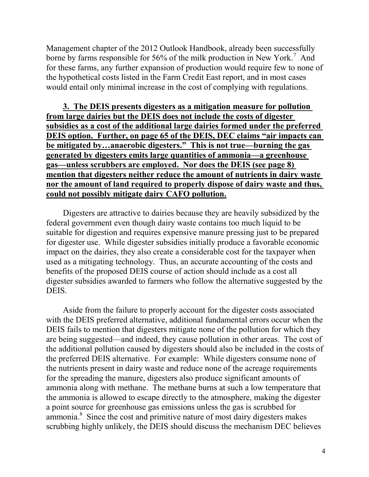Management chapter of the 2012 Outlook Handbook, already been successfully borne by farms responsible for 56% of the milk production in New York.<sup>7</sup> And for these farms, any further expansion of production would require few to none of the hypothetical costs listed in the Farm Credit East report, and in most cases would entail only minimal increase in the cost of complying with regulations.

**3. The DEIS presents digesters as a mitigation measure for pollution from large dairies but the DEIS does not include the costs of digester subsidies as a cost of the additional large dairies formed under the preferred DEIS option. Further, on page 65 of the DEIS, DEC claims "air impacts can be mitigated by…anaerobic digesters." This is not true—burning the gas generated by digesters emits large quantities of ammonia—a greenhouse gas—unless scrubbers are employed. Nor does the DEIS (see page 8) mention that digesters neither reduce the amount of nutrients in dairy waste nor the amount of land required to properly dispose of dairy waste and thus, could not possibly mitigate dairy CAFO pollution.**

Digesters are attractive to dairies because they are heavily subsidized by the federal government even though dairy waste contains too much liquid to be suitable for digestion and requires expensive manure pressing just to be prepared for digester use. While digester subsidies initially produce a favorable economic impact on the dairies, they also create a considerable cost for the taxpayer when used as a mitigating technology. Thus, an accurate accounting of the costs and benefits of the proposed DEIS course of action should include as a cost all digester subsidies awarded to farmers who follow the alternative suggested by the DEIS.

Aside from the failure to properly account for the digester costs associated with the DEIS preferred alternative, additional fundamental errors occur when the DEIS fails to mention that digesters mitigate none of the pollution for which they are being suggested—and indeed, they cause pollution in other areas. The cost of the additional pollution caused by digesters should also be included in the costs of the preferred DEIS alternative. For example: While digesters consume none of the nutrients present in dairy waste and reduce none of the acreage requirements for the spreading the manure, digesters also produce significant amounts of ammonia along with methane. The methane burns at such a low temperature that the ammonia is allowed to escape directly to the atmosphere, making the digester a point source for greenhouse gas emissions unless the gas is scrubbed for ammonia. 8 Since the cost and primitive nature of most dairy digesters makes scrubbing highly unlikely, the DEIS should discuss the mechanism DEC believes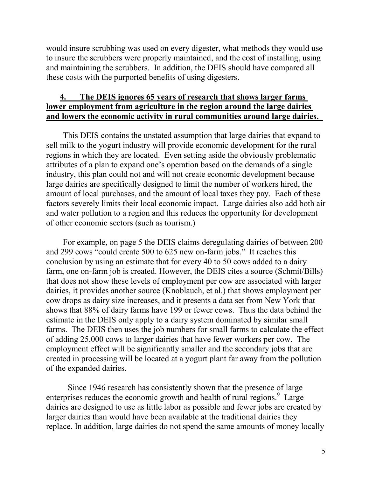would insure scrubbing was used on every digester, what methods they would use to insure the scrubbers were properly maintained, and the cost of installing, using and maintaining the scrubbers. In addition, the DEIS should have compared all these costs with the purported benefits of using digesters.

# **4. The DEIS ignores 65 years of research that shows larger farms lower employment from agriculture in the region around the large dairies and lowers the economic activity in rural communities around large dairies.**

This DEIS contains the unstated assumption that large dairies that expand to sell milk to the yogurt industry will provide economic development for the rural regions in which they are located. Even setting aside the obviously problematic attributes of a plan to expand one's operation based on the demands of a single industry, this plan could not and will not create economic development because large dairies are specifically designed to limit the number of workers hired, the amount of local purchases, and the amount of local taxes they pay. Each of these factors severely limits their local economic impact. Large dairies also add both air and water pollution to a region and this reduces the opportunity for development of other economic sectors (such as tourism.)

For example, on page 5 the DEIS claims deregulating dairies of between 200 and 299 cows "could create 500 to 625 new on-farm jobs." It reaches this conclusion by using an estimate that for every 40 to 50 cows added to a dairy farm, one on-farm job is created. However, the DEIS cites a source (Schmit/Bills) that does not show these levels of employment per cow are associated with larger dairies, it provides another source (Knoblauch, et al.) that shows employment per cow drops as dairy size increases, and it presents a data set from New York that shows that 88% of dairy farms have 199 or fewer cows. Thus the data behind the estimate in the DEIS only apply to a dairy system dominated by similar small farms. The DEIS then uses the job numbers for small farms to calculate the effect of adding 25,000 cows to larger dairies that have fewer workers per cow. The employment effect will be significantly smaller and the secondary jobs that are created in processing will be located at a yogurt plant far away from the pollution of the expanded dairies.

Since 1946 research has consistently shown that the presence of large enterprises reduces the economic growth and health of rural regions.<sup>9</sup> Large dairies are designed to use as little labor as possible and fewer jobs are created by larger dairies than would have been available at the traditional dairies they replace. In addition, large dairies do not spend the same amounts of money locally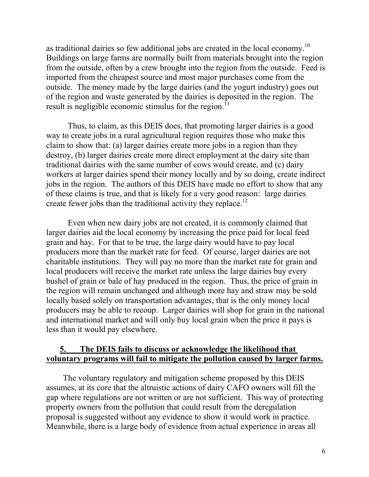as traditional dairies so few additional jobs are created in the local economy.<sup>10</sup> Buildings on large farms are normally built from materials brought into the region from the outside, often by a crew brought into the region from the outside. Feed is imported from the cheapest source and most major purchases come from the outside. The money made by the large dairies (and the yogurt industry) goes out of the region and waste generated by the dairies is deposited in the region. The result is negligible economic stimulus for the region.<sup>11</sup>

Thus, to claim, as this DEIS does, that promoting larger dairies is a good way to create jobs in a rural agricultural region requires those who make this claim to show that: (a) larger dairies create more jobs in a region than they destroy, (b) larger dairies create more direct employment at the dairy site than traditional dairies with the same number of cows would create, and (c) dairy workers at larger dairies spend their money locally and by so doing, create indirect jobs in the region. The authors of this DEIS have made no effort to show that any of these claims is true, and that is likely for a very good reason: large dairies create fewer jobs than the traditional activity they replace.<sup>12</sup>

Even when new dairy jobs are not created, it is commonly claimed that larger dairies aid the local economy by increasing the price paid for local feed grain and hay. For that to be true, the large dairy would have to pay local producers more than the market rate for feed. Of course, larger dairies are not charitable institutions. They will pay no more than the market rate for grain and local producers will receive the market rate unless the large dairies buy every bushel of grain or bale of hay produced in the region. Thus, the price of grain in the region will remain unchanged and although more hay and straw may be sold locally based solely on transportation advantages, that is the only money local producers may be able to recoup. Larger dairies will shop for grain in the national and international market and will only buy local grain when the price it pays is less than it would pay elsewhere.

# **5. The DEIS fails to discuss or acknowledge the likelihood that voluntary programs will fail to mitigate the pollution caused by larger farms.**

The voluntary regulatory and mitigation scheme proposed by this DEIS assumes, at its core that the altruistic actions of dairy CAFO owners will fill the gap where regulations are not written or are not sufficient. This way of protecting property owners from the pollution that could result from the deregulation proposal is suggested without any evidence to show it would work in practice. Meanwhile, there is a large body of evidence from actual experience in areas all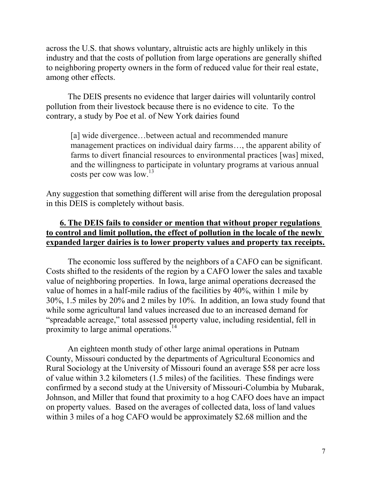across the U.S. that shows voluntary, altruistic acts are highly unlikely in this industry and that the costs of pollution from large operations are generally shifted to neighboring property owners in the form of reduced value for their real estate, among other effects.

The DEIS presents no evidence that larger dairies will voluntarily control pollution from their livestock because there is no evidence to cite. To the contrary, a study by Poe et al. of New York dairies found

[a] wide divergence...between actual and recommended manure management practices on individual dairy farms…, the apparent ability of farms to divert financial resources to environmental practices [was] mixed, and the willingness to participate in voluntary programs at various annual costs per cow was low. 13

Any suggestion that something different will arise from the deregulation proposal in this DEIS is completely without basis.

# **6. The DEIS fails to consider or mention that without proper regulations to control and limit pollution, the effect of pollution in the locale of the newly expanded larger dairies is to lower property values and property tax receipts.**

The economic loss suffered by the neighbors of a CAFO can be significant. Costs shifted to the residents of the region by a CAFO lower the sales and taxable value of neighboring properties. In Iowa, large animal operations decreased the value of homes in a half-mile radius of the facilities by 40%, within 1 mile by 30%, 1.5 miles by 20% and 2 miles by 10%. In addition, an Iowa study found that while some agricultural land values increased due to an increased demand for "spreadable acreage," total assessed property value, including residential, fell in proximity to large animal operations.<sup>14</sup>

An eighteen month study of other large animal operations in Putnam County, Missouri conducted by the departments of Agricultural Economics and Rural Sociology at the University of Missouri found an average \$58 per acre loss of value within 3.2 kilometers (1.5 miles) of the facilities. These findings were confirmed by a second study at the University of Missouri-Columbia by Mubarak, Johnson, and Miller that found that proximity to a hog CAFO does have an impact on property values. Based on the averages of collected data, loss of land values within 3 miles of a hog CAFO would be approximately \$2.68 million and the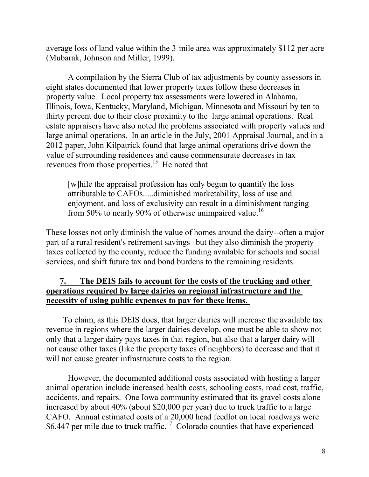average loss of land value within the 3-mile area was approximately \$112 per acre (Mubarak, Johnson and Miller, 1999).

A compilation by the Sierra Club of tax adjustments by county assessors in eight states documented that lower property taxes follow these decreases in property value. Local property tax assessments were lowered in Alabama, Illinois, Iowa, Kentucky, Maryland, Michigan, Minnesota and Missouri by ten to thirty percent due to their close proximity to the large animal operations. Real estate appraisers have also noted the problems associated with property values and large animal operations. In an article in the July, 2001 Appraisal Journal, and in a 2012 paper, John Kilpatrick found that large animal operations drive down the value of surrounding residences and cause commensurate decreases in tax revenues from those properties.<sup>15</sup> He noted that

[w]hile the appraisal profession has only begun to quantify the loss attributable to CAFOs.....diminished marketability, loss of use and enjoyment, and loss of exclusivity can result in a diminishment ranging from 50% to nearly 90% of otherwise unimpaired value.<sup>16</sup>

These losses not only diminish the value of homes around the dairy--often a major part of a rural resident's retirement savings--but they also diminish the property taxes collected by the county, reduce the funding available for schools and social services, and shift future tax and bond burdens to the remaining residents.

# **7. The DEIS fails to account for the costs of the trucking and other operations required by large dairies on regional infrastructure and the necessity of using public expenses to pay for these items.**

To claim, as this DEIS does, that larger dairies will increase the available tax revenue in regions where the larger dairies develop, one must be able to show not only that a larger dairy pays taxes in that region, but also that a larger dairy will not cause other taxes (like the property taxes of neighbors) to decrease and that it will not cause greater infrastructure costs to the region.

However, the documented additional costs associated with hosting a larger animal operation include increased health costs, schooling costs, road cost, traffic, accidents, and repairs. One Iowa community estimated that its gravel costs alone increased by about 40% (about \$20,000 per year) due to truck traffic to a large CAFO. Annual estimated costs of a 20,000 head feedlot on local roadways were \$6,447 per mile due to truck traffic.<sup>17</sup> Colorado counties that have experienced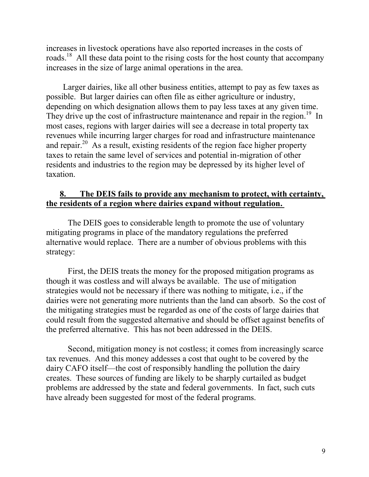increases in livestock operations have also reported increases in the costs of roads.<sup>18</sup> All these data point to the rising costs for the host county that accompany increases in the size of large animal operations in the area.

Larger dairies, like all other business entities, attempt to pay as few taxes as possible. But larger dairies can often file as either agriculture or industry, depending on which designation allows them to pay less taxes at any given time. They drive up the cost of infrastructure maintenance and repair in the region.<sup>19</sup> In most cases, regions with larger dairies will see a decrease in total property tax revenues while incurring larger charges for road and infrastructure maintenance and repair.<sup>20</sup> As a result, existing residents of the region face higher property taxes to retain the same level of services and potential in-migration of other residents and industries to the region may be depressed by its higher level of taxation.

# **8. The DEIS fails to provide any mechanism to protect, with certainty, the residents of a region where dairies expand without regulation.**

The DEIS goes to considerable length to promote the use of voluntary mitigating programs in place of the mandatory regulations the preferred alternative would replace. There are a number of obvious problems with this strategy:

First, the DEIS treats the money for the proposed mitigation programs as though it was costless and will always be available. The use of mitigation strategies would not be necessary if there was nothing to mitigate, i.e., if the dairies were not generating more nutrients than the land can absorb. So the cost of the mitigating strategies must be regarded as one of the costs of large dairies that could result from the suggested alternative and should be offset against benefits of the preferred alternative. This has not been addressed in the DEIS.

Second, mitigation money is not costless; it comes from increasingly scarce tax revenues. And this money addesses a cost that ought to be covered by the dairy CAFO itself—the cost of responsibly handling the pollution the dairy creates. These sources of funding are likely to be sharply curtailed as budget problems are addressed by the state and federal governments. In fact, such cuts have already been suggested for most of the federal programs.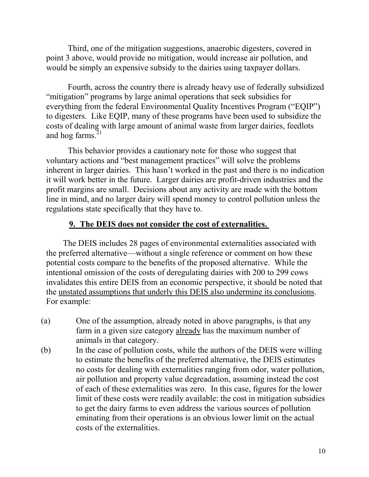Third, one of the mitigation suggestions, anaerobic digesters, covered in point 3 above, would provide no mitigation, would increase air pollution, and would be simply an expensive subsidy to the dairies using taxpayer dollars.

Fourth, across the country there is already heavy use of federally subsidized "mitigation" programs by large animal operations that seek subsidies for everything from the federal Environmental Quality Incentives Program ("EQIP") to digesters. Like EQIP, many of these programs have been used to subsidize the costs of dealing with large amount of animal waste from larger dairies, feedlots and hog farms. $21$ 

This behavior provides a cautionary note for those who suggest that voluntary actions and "best management practices" will solve the problems inherent in larger dairies. This hasn't worked in the past and there is no indication it will work better in the future. Larger dairies are profit-driven industries and the profit margins are small. Decisions about any activity are made with the bottom line in mind, and no larger dairy will spend money to control pollution unless the regulations state specifically that they have to.

# **9. The DEIS does not consider the cost of externalities.**

The DEIS includes 28 pages of environmental externalities associated with the preferred alternative—without a single reference or comment on how these potential costs compare to the benefits of the proposed alternative. While the intentional omission of the costs of deregulating dairies with 200 to 299 cows invalidates this entire DEIS from an economic perspective, it should be noted that the unstated assumptions that underly this DEIS also undermine its conclusions. For example:

- (a) One of the assumption, already noted in above paragraphs, is that any farm in a given size category already has the maximum number of animals in that category.
- (b) In the case of pollution costs, while the authors of the DEIS were willing to estimate the benefits of the preferred alternative, the DEIS estimates no costs for dealing with externalities ranging from odor, water pollution, air pollution and property value degreadation, assuming instead the cost of each of these externalities was zero. In this case, figures for the lower limit of these costs were readily available: the cost in mitigation subsidies to get the dairy farms to even address the various sources of pollution eminating from their operations is an obvious lower limit on the actual costs of the externalities.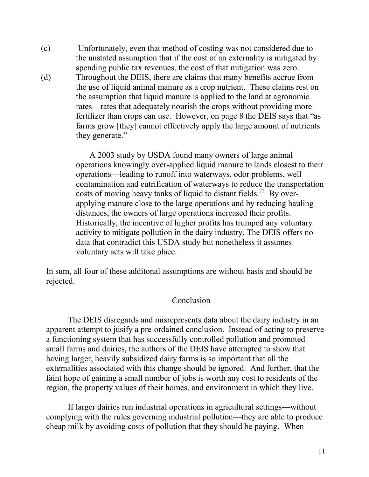- (c) Unfortunately, even that method of costing was not considered due to the unstated assumption that if the cost of an externality is mitigated by spending public tax revenues, the cost of that mitigation was zero.
- (d) Throughout the DEIS, there are claims that many benefits accrue from the use of liquid animal manure as a crop nutrient. These claims rest on the assumption that liquid manure is applied to the land at agronomic rates—rates that adequately nourish the crops without providing more fertilizer than crops can use. However, on page 8 the DEIS says that "as farms grow [they] cannot effectively apply the large amount of nutrients they generate."

A 2003 study by USDA found many owners of large animal operations knowingly over-applied liquid manure to lands closest to their operations—leading to runoff into waterways, odor problems, well contamination and eutrification of waterways to reduce the transportation costs of moving heavy tanks of liquid to distant fields.<sup>22</sup> By overapplying manure close to the large operations and by reducing hauling distances, the owners of large operations increased their profits. Historically, the incentive of higher profits has trumped any voluntary activity to mitigate pollution in the dairy industry. The DEIS offers no data that contradict this USDA study but nonetheless it assumes voluntary acts will take place.

In sum, all four of these additonal assumptions are without basis and should be rejected.

## Conclusion

The DEIS disregards and misrepresents data about the dairy industry in an apparent attempt to jusify a pre-ordained conclusion. Instead of acting to preserve a functioning system that has successfully controlled pollution and promoted small farms and dairies, the authors of the DEIS have attempted to show that having larger, heavily subsidized dairy farms is so important that all the externalities associated with this change should be ignored. And further, that the faint hope of gaining a small number of jobs is worth any cost to residents of the region, the property values of their homes, and environment in which they live.

If larger dairies run industrial operations in agricultural settings—without complying with the rules governing industrial pollution—they are able to produce cheap milk by avoiding costs of pollution that they should be paying. When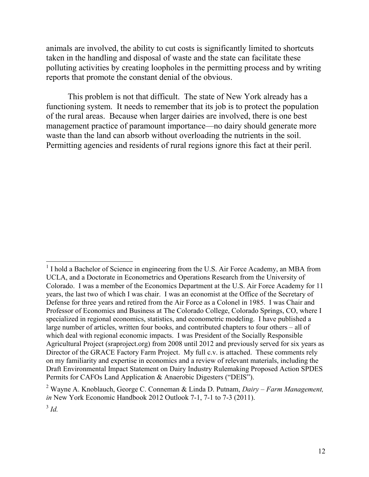animals are involved, the ability to cut costs is significantly limited to shortcuts taken in the handling and disposal of waste and the state can facilitate these polluting activities by creating loopholes in the permitting process and by writing reports that promote the constant denial of the obvious.

This problem is not that difficult. The state of New York already has a functioning system. It needs to remember that its job is to protect the population of the rural areas. Because when larger dairies are involved, there is one best management practice of paramount importance—no dairy should generate more waste than the land can absorb without overloading the nutrients in the soil. Permitting agencies and residents of rural regions ignore this fact at their peril.

<sup>&</sup>lt;sup>1</sup> I hold a Bachelor of Science in engineering from the U.S. Air Force Academy, an MBA from UCLA, and a Doctorate in Econometrics and Operations Research from the University of Colorado. I was a member of the Economics Department at the U.S. Air Force Academy for 11 years, the last two of which I was chair. I was an economist at the Office of the Secretary of Defense for three years and retired from the Air Force as a Colonel in 1985. I was Chair and Professor of Economics and Business at The Colorado College, Colorado Springs, CO, where I specialized in regional economics, statistics, and econometric modeling. I have published a large number of articles, written four books, and contributed chapters to four others – all of which deal with regional economic impacts. I was President of the Socially Responsible Agricultural Project (sraproject.org) from 2008 until 2012 and previously served for six years as Director of the GRACE Factory Farm Project. My full c.v. is attached. These comments rely on my familiarity and expertise in economics and a review of relevant materials, including the Draft Environmental Impact Statement on Dairy Industry Rulemaking Proposed Action SPDES Permits for CAFOs Land Application & Anaerobic Digesters ("DEIS").

<sup>2</sup> Wayne A. Knoblauch, George C. Conneman & Linda D. Putnam, *Dairy – Farm Management, in* New York Economic Handbook 2012 Outlook 7-1, 7-1 to 7-3 (2011).

<sup>3</sup> *Id.*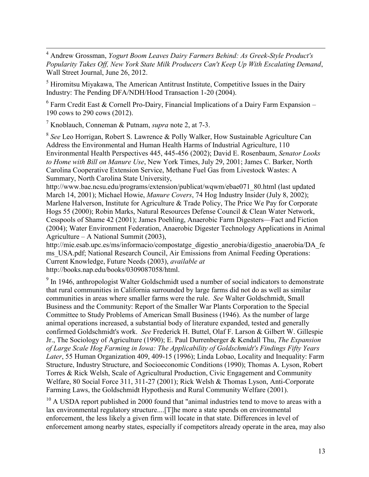<sup>4</sup> Andrew Grossman, *Yogurt Boom Leaves Dairy Farmers Behind: As Greek-Style Product's Popularity Takes Off, New York State Milk Producers Can't Keep Up With Escalating Demand*, Wall Street Journal, June 26, 2012.

 $<sup>5</sup>$  Hiromitsu Miyakawa, The American Antitrust Institute, Competitive Issues in the Dairy</sup> Industry: The Pending DFA/NDH/Hood Transaction 1-20 (2004).

 $6$  Farm Credit East & Cornell Pro-Dairy, Financial Implications of a Dairy Farm Expansion – 190 cows to 290 cows (2012).

<sup>7</sup> Knoblauch, Conneman & Putnam, *supra* note 2, at 7-3.

 $\overline{a}$ 

8 *See* Leo Horrigan, Robert S. Lawrence & Polly Walker, How Sustainable Agriculture Can Address the Environmental and Human Health Harms of Industrial Agriculture, 110 Environmental Health Perspectives 445, 445-456 (2002); David E. Rosenbaum, *Senator Looks to Home with Bill on Manure Use*, New York Times, July 29, 2001; James C. Barker, North Carolina Cooperative Extension Service, Methane Fuel Gas from Livestock Wastes: A Summary, North Carolina State University,

http://www.bae.ncsu.edu/programs/extension/publicat/wqwm/ebae071\_80.html (last updated March 14, 2001); Michael Howie, *Manure Covers*, 74 Hog Industry Insider (July 8, 2002); Marlene Halverson, Institute for Agriculture & Trade Policy, The Price We Pay for Corporate Hogs 55 (2000); Robin Marks, Natural Resources Defense Council & Clean Water Network, Cesspools of Shame 42 (2001); James Poehling, Anaerobic Farm Digesters—Fact and Fiction (2004); Water Environment Federation, Anaerobic Digester Technology Applications in Animal Agriculture – A National Summit (2003),

http://mie.esab.upc.es/ms/informacio/compostatge\_digestio\_anerobia/digestio\_anaerobia/DA\_fe ms USA.pdf; National Research Council, Air Emissions from Animal Feeding Operations: Current Knowledge, Future Needs (2003), *available at* http://books.nap.edu/books/0309087058/html.

 $9$  In 1946, anthropologist Walter Goldschmidt used a number of social indicators to demonstrate that rural communities in California surrounded by large farms did not do as well as similar communities in areas where smaller farms were the rule. *See* Walter Goldschmidt, Small Business and the Community: Report of the Smaller War Plants Corporation to the Special Committee to Study Problems of American Small Business (1946). As the number of large animal operations increased, a substantial body of literature expanded, tested and generally confirmed Goldschmidt's work. *See* Frederick H. Buttel, Olaf F. Larson & Gilbert W. Gillespie Jr., The Sociology of Agriculture (1990); E. Paul Durrenberger & Kendall Thu, *The Expansion of Large Scale Hog Farming in Iowa: The Applicability of Goldschmidt's Findings Fifty Years Later*, 55 Human Organization 409, 409-15 (1996); Linda Lobao, Locality and Inequality: Farm Structure, Industry Structure, and Socioeconomic Conditions (1990); Thomas A. Lyson, Robert Torres & Rick Welsh, Scale of Agricultural Production, Civic Engagement and Community Welfare, 80 Social Force 311, 311-27 (2001); Rick Welsh & Thomas Lyson, Anti-Corporate Farming Laws, the Goldschmidt Hypothesis and Rural Community Welfare (2001).

 $10$  A USDA report published in 2000 found that "animal industries tend to move to areas with a lax environmental regulatory structure....[T]he more a state spends on environmental enforcement, the less likely a given firm will locate in that state. Differences in level of enforcement among nearby states, especially if competitors already operate in the area, may also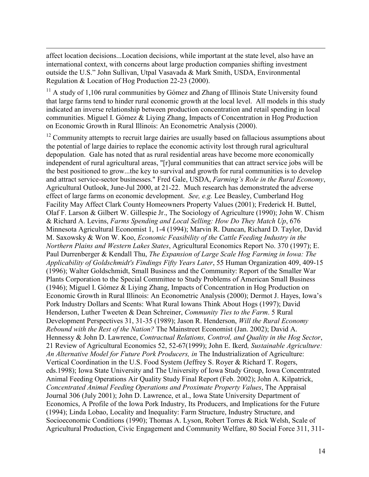affect location decisions...Location decisions, while important at the state level, also have an international context, with concerns about large production companies shifting investment outside the U.S." John Sullivan, Utpal Vasavada & Mark Smith, USDA, Environmental Regulation & Location of Hog Production 22-23 (2000).

 $\overline{a}$ 

 $11$  A study of 1,106 rural communities by Gómez and Zhang of Illinois State University found that large farms tend to hinder rural economic growth at the local level. All models in this study indicated an inverse relationship between production concentration and retail spending in local communities. Miguel I. Gómez & Liying Zhang, Impacts of Concentration in Hog Production on Economic Growth in Rural Illinois: An Econometric Analysis (2000).

 $12$  Community attempts to recruit large dairies are usually based on fallacious assumptions about the potential of large dairies to replace the economic activity lost through rural agricultural depopulation. Gale has noted that as rural residential areas have become more economically independent of rural agricultural areas, "[r]ural communities that can attract service jobs will be the best positioned to grow...the key to survival and growth for rural communities is to develop and attract service-sector businesses." Fred Gale, USDA, *Farming's Role in the Rural Economy*, Agricultural Outlook, June-Jul 2000, at 21-22. Much research has demonstrated the adverse effect of large farms on economic development. *See, e.g.* Lee Beasley, Cumberland Hog Facility May Affect Clark County Homeowners Property Values (2001); Frederick H. Buttel, Olaf F. Larson & Gilbert W. Gillespie Jr., The Sociology of Agriculture (1990); John W. Chism & Richard A. Levins, *Farms Spending and Local Selling: How Do They Match Up*, 676 Minnesota Agricultural Economist 1, 1-4 (1994); Marvin R. Duncan, Richard D. Taylor, David M. Saxowsky & Won W. Koo, *Economic Feasibility of the Cattle Feeding Industry in the Northern Plains and Western Lakes States*, Agricultural Economics Report No. 370 (1997); E. Paul Durrenberger & Kendall Thu, *The Expansion of Large Scale Hog Farming in Iowa: The Applicability of Goldschmidt's Findings Fifty Years Later*, 55 Human Organization 409, 409-15 (1996); Walter Goldschmidt, Small Business and the Community: Report of the Smaller War Plants Corporation to the Special Committee to Study Problems of American Small Business (1946); Miguel I. Gómez & Liying Zhang, Impacts of Concentration in Hog Production on Economic Growth in Rural Illinois: An Econometric Analysis (2000); Dermot J. Hayes, Iowa's Pork Industry Dollars and Scents: What Rural Iowans Think About Hogs (1997); David Henderson, Luther Tweeten & Dean Schreiner, *Community Ties to the Farm*. 5 Rural Development Perspectives 31, 31-35 (1989); Jason R. Henderson, *Will the Rural Economy Rebound with the Rest of the Nation?* The Mainstreet Economist (Jan. 2002); David A. Hennessy & John D. Lawrence, *Contractual Relations, Control, and Quality in the Hog Sector*, 21 Review of Agricultural Economics 52, 52-67(1999); John E. Ikerd*, Sustainable Agriculture: An Alternative Model for Future Pork Producers, in* The Industrialization of Agriculture: Vertical Coordination in the U.S. Food System (Jeffrey S. Royer & Richard T. Rogers, eds.1998); Iowa State University and The University of Iowa Study Group, Iowa Concentrated Animal Feeding Operations Air Quality Study Final Report (Feb. 2002); John A. Kilpatrick, *Concentrated Animal Feeding Operations and Proximate Property Values*, The Appraisal Journal 306 (July 2001); John D. Lawrence, et al., Iowa State University Department of Economics, A Profile of the Iowa Pork Industry, Its Producers, and Implications for the Future (1994); Linda Lobao, Locality and Inequality: Farm Structure, Industry Structure, and Socioeconomic Conditions (1990); Thomas A. Lyson, Robert Torres & Rick Welsh, Scale of Agricultural Production, Civic Engagement and Community Welfare, 80 Social Force 311, 311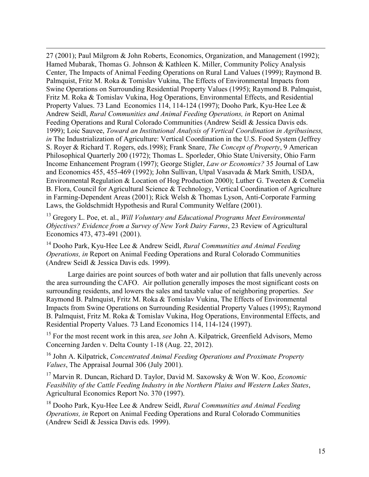27 (2001); Paul Milgrom & John Roberts, Economics, Organization, and Management (1992); Hamed Mubarak, Thomas G. Johnson & Kathleen K. Miller, Community Policy Analysis Center, The Impacts of Animal Feeding Operations on Rural Land Values (1999); Raymond B. Palmquist, Fritz M. Roka & Tomislav Vukina, The Effects of Environmental Impacts from Swine Operations on Surrounding Residential Property Values (1995); Raymond B. Palmquist, Fritz M. Roka & Tomislav Vukina, Hog Operations, Environmental Effects, and Residential Property Values. 73 Land Economics 114, 114-124 (1997); Dooho Park, Kyu-Hee Lee & Andrew Seidl, *Rural Communities and Animal Feeding Operations, in* Report on Animal Feeding Operations and Rural Colorado Communities (Andrew Seidl & Jessica Davis eds. 1999); Loic Sauvee, *Toward an Institutional Analysis of Vertical Coordination in Agribusiness, in* The Industrialization of Agriculture: Vertical Coordination in the U.S. Food System (Jeffrey S. Royer & Richard T. Rogers, eds.1998); Frank Snare, *The Concept of Property*, 9 American Philosophical Quarterly 200 (1972); Thomas L. Sporleder, Ohio State University, Ohio Farm Income Enhancement Program (1997); George Stigler, *Law or Economics?* 35 Journal of Law and Economics 455, 455-469 (1992); John Sullivan, Utpal Vasavada & Mark Smith, USDA, Environmental Regulation & Location of Hog Production 2000); Luther G. Tweeten & Cornelia B. Flora, Council for Agricultural Science & Technology, Vertical Coordination of Agriculture in Farming-Dependent Areas (2001); Rick Welsh & Thomas Lyson, Anti-Corporate Farming Laws, the Goldschmidt Hypothesis and Rural Community Welfare (2001).

 $\overline{a}$ 

<sup>13</sup> Gregory L. Poe, et. al., *Will Voluntary and Educational Programs Meet Environmental Objectives? Evidence from a Survey of New York Dairy Farms*, 23 Review of Agricultural Economics 473, 473-491 (2001).

<sup>14</sup> Dooho Park, Kyu-Hee Lee & Andrew Seidl, *Rural Communities and Animal Feeding Operations, in* Report on Animal Feeding Operations and Rural Colorado Communities (Andrew Seidl & Jessica Davis eds. 1999).

Large dairies are point sources of both water and air pollution that falls unevenly across the area surrounding the CAFO. Air pollution generally imposes the most significant costs on surrounding residents, and lowers the sales and taxable value of neighboring properties. *See* Raymond B. Palmquist, Fritz M. Roka & Tomislav Vukina, The Effects of Environmental Impacts from Swine Operations on Surrounding Residential Property Values (1995); Raymond B. Palmquist, Fritz M. Roka & Tomislav Vukina, Hog Operations, Environmental Effects, and Residential Property Values. 73 Land Economics 114, 114-124 (1997).

<sup>15</sup> For the most recent work in this area, *see* John A. Kilpatrick, Greenfield Advisors, Memo Concerning Jarden v. Delta County 1-18 (Aug. 22, 2012).

<sup>16</sup> John A. Kilpatrick, *Concentrated Animal Feeding Operations and Proximate Property Values*, The Appraisal Journal 306 (July 2001).

<sup>17</sup> Marvin R. Duncan, Richard D. Taylor, David M. Saxowsky & Won W. Koo, *Economic Feasibility of the Cattle Feeding Industry in the Northern Plains and Western Lakes States*, Agricultural Economics Report No. 370 (1997).

<sup>18</sup> Dooho Park, Kyu-Hee Lee & Andrew Seidl, *Rural Communities and Animal Feeding Operations, in* Report on Animal Feeding Operations and Rural Colorado Communities (Andrew Seidl & Jessica Davis eds. 1999).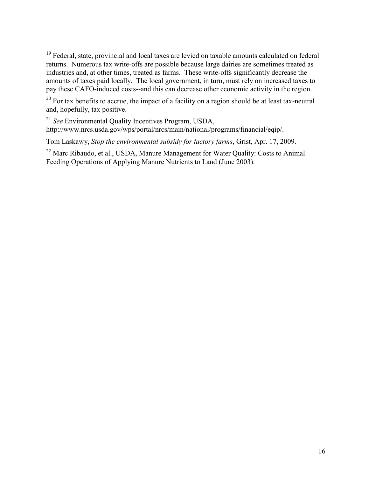$\overline{a}$ <sup>19</sup> Federal, state, provincial and local taxes are levied on taxable amounts calculated on federal returns. Numerous tax write-offs are possible because large dairies are sometimes treated as industries and, at other times, treated as farms. These write-offs significantly decrease the amounts of taxes paid locally. The local government, in turn, must rely on increased taxes to pay these CAFO-induced costs--and this can decrease other economic activity in the region.

 $20$  For tax benefits to accrue, the impact of a facility on a region should be at least tax-neutral and, hopefully, tax positive.

<sup>21</sup> *See* Environmental Quality Incentives Program, USDA,

http://www.nrcs.usda.gov/wps/portal/nrcs/main/national/programs/financial/eqip/.

Tom Laskawy, *Stop the environmental subsidy for factory farms*, Grist, Apr. 17, 2009.

<sup>22</sup> Marc Ribaudo, et al., USDA, Manure Management for Water Quality: Costs to Animal Feeding Operations of Applying Manure Nutrients to Land (June 2003).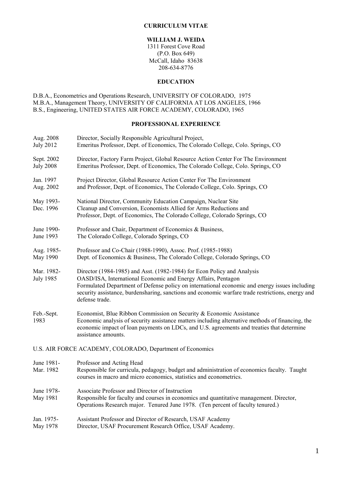#### **CURRICULUM VITAE**

### **WILLIAM J. WEIDA**

1311 Forest Cove Road (P.O. Box 649) McCall, Idaho 83638 208-634-8776

### **EDUCATION**

D.B.A., Econometrics and Operations Research, UNIVERSITY OF COLORADO, 1975 M.B.A., Management Theory, UNIVERSITY OF CALIFORNIA AT LOS ANGELES, 1966 B.S., Engineering, UNITED STATES AIR FORCE ACADEMY, COLORADO, 1965

### **PROFESSIONAL EXPERIENCE**

| Aug. 2008                      | Director, Socially Responsible Agricultural Project,                                                                                                                                                                                                                                                                                                             |
|--------------------------------|------------------------------------------------------------------------------------------------------------------------------------------------------------------------------------------------------------------------------------------------------------------------------------------------------------------------------------------------------------------|
| <b>July 2012</b>               | Emeritus Professor, Dept. of Economics, The Colorado College, Colo. Springs, CO                                                                                                                                                                                                                                                                                  |
| Sept. 2002                     | Director, Factory Farm Project, Global Resource Action Center For The Environment                                                                                                                                                                                                                                                                                |
| <b>July 2008</b>               | Emeritus Professor, Dept. of Economics, The Colorado College, Colo. Springs, CO                                                                                                                                                                                                                                                                                  |
| Jan. 1997                      | Project Director, Global Resource Action Center For The Environment                                                                                                                                                                                                                                                                                              |
| Aug. 2002                      | and Professor, Dept. of Economics, The Colorado College, Colo. Springs, CO                                                                                                                                                                                                                                                                                       |
| May 1993-<br>Dec. 1996         | National Director, Community Education Campaign, Nuclear Site<br>Cleanup and Conversion, Economists Allied for Arms Reductions and<br>Professor, Dept. of Economics, The Colorado College, Colorado Springs, CO                                                                                                                                                  |
| June 1990-                     | Professor and Chair, Department of Economics & Business,                                                                                                                                                                                                                                                                                                         |
| June 1993                      | The Colorado College, Colorado Springs, CO                                                                                                                                                                                                                                                                                                                       |
| Aug. 1985-                     | Professor and Co-Chair (1988-1990), Assoc. Prof. (1985-1988)                                                                                                                                                                                                                                                                                                     |
| May 1990                       | Dept. of Economics & Business, The Colorado College, Colorado Springs, CO                                                                                                                                                                                                                                                                                        |
| Mar. 1982-<br><b>July 1985</b> | Director (1984-1985) and Asst. (1982-1984) for Econ Policy and Analysis<br>OASD/ISA, International Economic and Energy Affairs, Pentagon<br>Formulated Department of Defense policy on international economic and energy issues including<br>security assistance, burdensharing, sanctions and economic warfare trade restrictions, energy and<br>defense trade. |
| Feb.-Sept.<br>1983             | Economist, Blue Ribbon Commission on Security & Economic Assistance<br>Economic analysis of security assistance matters including alternative methods of financing, the<br>economic impact of loan payments on LDCs, and U.S. agreements and treaties that determine<br>assistance amounts.                                                                      |
|                                | U.S. AIR FORCE ACADEMY, COLORADO, Department of Economics                                                                                                                                                                                                                                                                                                        |
| June 1981-<br>Mar. 1982        | Professor and Acting Head<br>Responsible for curricula, pedagogy, budget and administration of economics faculty. Taught<br>courses in macro and micro economics, statistics and econometrics.                                                                                                                                                                   |
| June 1978-<br>May 1981         | Associate Professor and Director of Instruction<br>Responsible for faculty and courses in economics and quantitative management. Director,<br>Operations Research major. Tenured June 1978. (Ten percent of faculty tenured.)                                                                                                                                    |
| Jan. 1975-                     | Assistant Professor and Director of Research, USAF Academy                                                                                                                                                                                                                                                                                                       |
| May 1978                       | Director, USAF Procurement Research Office, USAF Academy.                                                                                                                                                                                                                                                                                                        |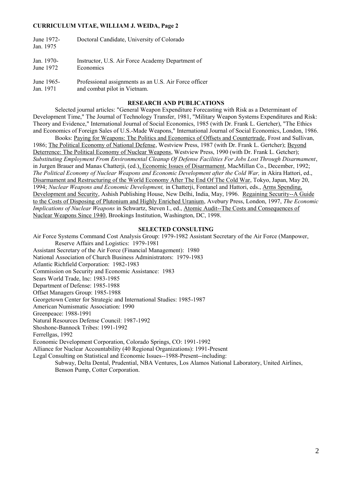#### **CURRICULUM VITAE, WILLIAM J. WEIDA, Page 2**

| June 1972-<br>Jan. 1975 | Doctoral Candidate, University of Colorado            |
|-------------------------|-------------------------------------------------------|
| Jan. 1970-              | Instructor, U.S. Air Force Academy Department of      |
| June 1972               | Economics                                             |
| June 1965-              | Professional assignments as an U.S. Air Force officer |
| Jan. 1971               | and combat pilot in Vietnam.                          |

#### **RESEARCH AND PUBLICATIONS**

Selected journal articles: "General Weapon Expenditure Forecasting with Risk as a Determinant of Development Time," The Journal of Technology Transfer, 1981, "Military Weapon Systems Expenditures and Risk: Theory and Evidence," International Journal of Social Economics, 1985 (with Dr. Frank L. Gertcher), "The Ethics and Economics of Foreign Sales of U.S.-Made Weapons," International Journal of Social Economics, London, 1986.

Books: Paying for Weapons: The Politics and Economics of Offsets and Countertrade, Frost and Sullivan, 1986; The Political Economy of National Defense, Westview Press, 1987 (with Dr. Frank L. Gertcher); Beyond Deterrence: The Political Economy of Nuclear Weapons, Westview Press, 1990 (with Dr. Frank L. Getcher); *Substituting Employment From Environmental Cleanup Of Defense Facilities For Jobs Lost Through Disarmament*, in Jurgen Brauer and Manas Chatterji, (ed.), Economic Issues of Disarmament, MacMillan Co., December, 1992; *The Political Economy of Nuclear Weapons and Economic Development after the Cold War, in Akira Hattori, ed.,* Disarmament and Restructuring of the World Economy After The End Of The Cold War, Tokyo, Japan, May 20, 1994; *Nuclear Weapons and Economic Development,* in Chatterji, Fontanel and Hattori, eds., Arms Spending, Development and Security, Ashish Publishing House, New Delhi, India, May, 1996. Regaining Security--A Guide to the Costs of Disposing of Plutonium and Highly Enriched Uranium, Avebury Press, London, 1997, *The Economic Implications of Nuclear Weapons* in Schwartz, Steven I., ed., Atomic Audit--The Costs and Consequences of Nuclear Weapons Since 1940, Brookings Institution, Washington, DC, 1998.

#### **SELECTED CONSULTING**

Air Force Systems Command Cost Analysis Group: 1979-1982 Assistant Secretary of the Air Force (Manpower, Reserve Affairs and Logistics: 1979-1981 Assistant Secretary of the Air Force (Financial Management): 1980 National Association of Church Business Administrators: 1979-1983 Atlantic Richfield Corporation: 1982-1983 Commission on Security and Economic Assistance: 1983 Sears World Trade, Inc: 1983-1985 Department of Defense: 1985-1988 Offset Managers Group: 1985-1988 Georgetown Center for Strategic and International Studies: 1985-1987 American Numismatic Association: 1990 Greenpeace: 1988-1991 Natural Resources Defense Council: 1987-1992 Shoshone-Bannock Tribes: 1991-1992 Ferrellgas, 1992 Economic Development Corporation, Colorado Springs, CO: 1991-1992 Alliance for Nuclear Accountability (40 Regional Organizations): 1991-Present Legal Consulting on Statistical and Economic Issues--1988-Present--including: Subway, Delta Dental, Prudential, NBA Ventures, Los Alamos National Laboratory, United Airlines, Benson Pump, Cotter Corporation.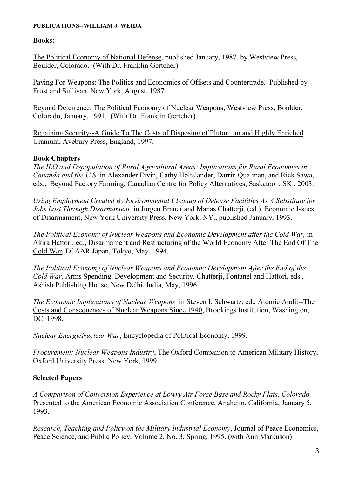### **PUBLICATIONS--WILLIAM J. WEIDA**

### **Books:**

The Political Economy of National Defense, published January, 1987, by Westview Press, Boulder, Colorado. (With Dr. Franklin Gertcher)

Paying For Weapons: The Politics and Economics of Offsets and Countertrade. Published by Frost and Sullivan, New York, August, 1987.

Beyond Deterrence: The Political Economy of Nuclear Weapons, Westview Press, Boulder, Colorado, January, 1991. (With Dr. Franklin Gertcher)

Regaining Security--A Guide To The Costs of Disposing of Plutonium and Highly Enriched Uranium, Avebury Press, England, 1997.

## **Book Chapters**

*The ILO and Depopulation of Rural Agricultural Areas: Implications for Rural Economies in Cananda and the U.S.* in Alexander Ervin, Cathy Holtslander, Darrin Qualman, and Rick Sawa, eds., Beyond Factory Farming, Canadian Centre for Policy Alternatives, Saskatoon, SK., 2003.

*Using Employment Created By Environmental Cleanup of Defense Facilities As A Substitute for Jobs Lost Through Disarmament.* in Jurgen Brauer and Manas Chatterji, (ed.), Economic Issues of Disarmament, New York University Press, New York, NY., published January, 1993.

*The Political Economy of Nuclear Weapons and Economic Development after the Cold War,* in Akira Hattori, ed., Disarmament and Restructuring of the World Economy After The End Of The Cold War, ECAAR Japan, Tokyo, May, 1994.

*The Political Economy of Nuclear Weapons and Economic Development After the End of the Cold War,* Arms Spending, Development and Security, Chatterji, Fontanel and Hattori, eds., Ashish Publishing House, New Delhi, India, May, 1996.

*The Economic Implications of Nuclear Weapons* in Steven I. Schwartz, ed., Atomic Audit--The Costs and Consequences of Nuclear Weapons Since 1940, Brookings Institution, Washington, DC, 1998.

*Nuclear Energy/Nuclear War*, Encyclopedia of Political Economy, 1999.

*Procurement: Nuclear Weapons Industry*, The Oxford Companion to American Military History, Oxford University Press, New York, 1999.

## **Selected Papers**

*A Comparison of Conversion Experience at Lowry Air Force Base and Rocky Flats, Colorado,* Presented to the American Economic Association Conference, Anaheim, California, January 5, 1993.

*Research, Teaching and Policy on the Military Industrial Economy*, Journal of Peace Economics, Peace Science, and Public Policy, Volume 2, No. 3, Spring, 1995. (with Ann Markuson)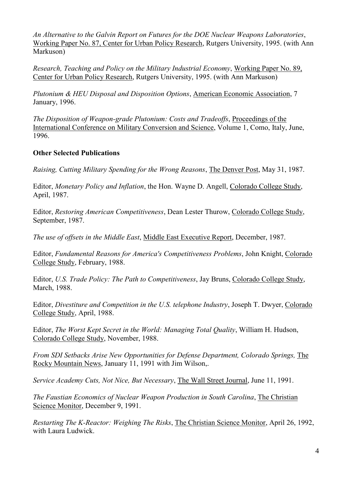*An Alternative to the Galvin Report on Futures for the DOE Nuclear Weapons Laboratories*, Working Paper No. 87, Center for Urban Policy Research, Rutgers University, 1995. (with Ann Markuson)

*Research, Teaching and Policy on the Military Industrial Economy*, Working Paper No. 89, Center for Urban Policy Research, Rutgers University, 1995. (with Ann Markuson)

*Plutonium & HEU Disposal and Disposition Options*, American Economic Association, 7 January, 1996.

*The Disposition of Weapon-grade Plutonium: Costs and Tradeoffs*, Proceedings of the International Conference on Military Conversion and Science, Volume 1, Como, Italy, June, 1996.

## **Other Selected Publications**

*Raising, Cutting Military Spending for the Wrong Reasons*, The Denver Post, May 31, 1987.

Editor, *Monetary Policy and Inflation*, the Hon. Wayne D. Angell, Colorado College Study, April, 1987.

Editor, *Restoring American Competitiveness*, Dean Lester Thurow, Colorado College Study, September, 1987.

*The use of offsets in the Middle East*, Middle East Executive Report, December, 1987.

Editor, *Fundamental Reasons for America's Competitiveness Problems*, John Knight, Colorado College Study, February, 1988.

Editor, *U.S. Trade Policy: The Path to Competitiveness*, Jay Bruns, Colorado College Study, March, 1988.

Editor, *Divestiture and Competition in the U.S. telephone Industry*, Joseph T. Dwyer, Colorado College Study, April, 1988.

Editor, *The Worst Kept Secret in the World: Managing Total Quality*, William H. Hudson, Colorado College Study, November, 1988.

*From SDI Setbacks Arise New Opportunities for Defense Department, Colorado Springs,* The Rocky Mountain News, January 11, 1991 with Jim Wilson,.

*Service Academy Cuts, Not Nice, But Necessary*, The Wall Street Journal, June 11, 1991.

*The Faustian Economics of Nuclear Weapon Production in South Carolina*, The Christian Science Monitor, December 9, 1991.

*Restarting The K-Reactor: Weighing The Risks*, The Christian Science Monitor, April 26, 1992, with Laura Ludwick.